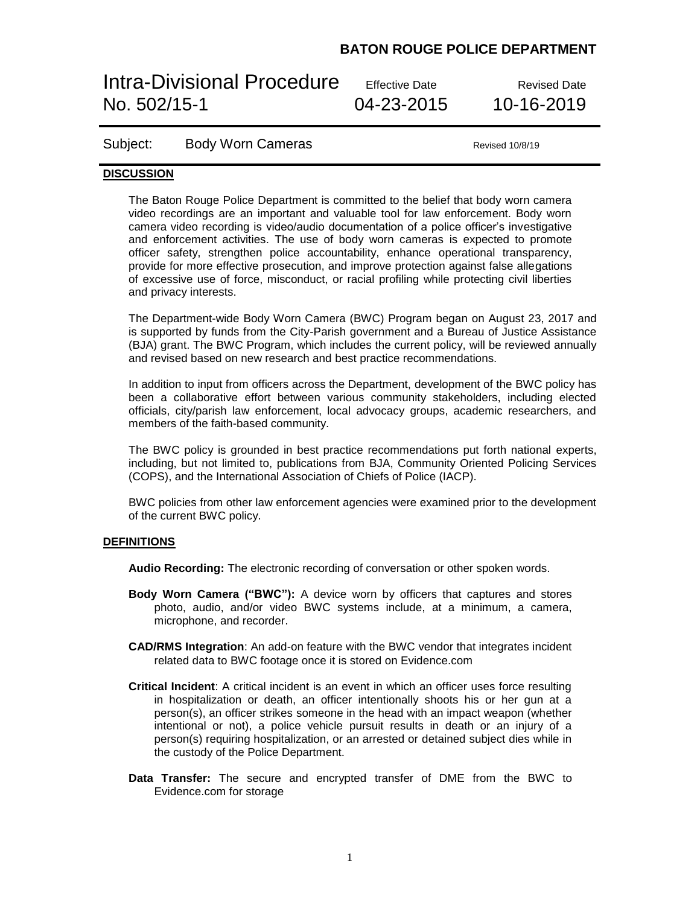# Intra-Divisional Procedure Effective Date Revised Date No. 502/15-1 04-23-2015 10-16-2019

### Subject: Body Worn Cameras **Bublish Contains Accord Revised 10/8/19**

### **DISCUSSION**

The Baton Rouge Police Department is committed to the belief that body worn camera video recordings are an important and valuable tool for law enforcement. Body worn camera video recording is video/audio documentation of a police officer's investigative and enforcement activities. The use of body worn cameras is expected to promote officer safety, strengthen police accountability, enhance operational transparency, provide for more effective prosecution, and improve protection against false allegations of excessive use of force, misconduct, or racial profiling while protecting civil liberties and privacy interests.

The Department-wide Body Worn Camera (BWC) Program began on August 23, 2017 and is supported by funds from the City-Parish government and a Bureau of Justice Assistance (BJA) grant. The BWC Program, which includes the current policy, will be reviewed annually and revised based on new research and best practice recommendations.

In addition to input from officers across the Department, development of the BWC policy has been a collaborative effort between various community stakeholders, including elected officials, city/parish law enforcement, local advocacy groups, academic researchers, and members of the faith-based community.

The BWC policy is grounded in best practice recommendations put forth national experts, including, but not limited to, publications from BJA, Community Oriented Policing Services (COPS), and the International Association of Chiefs of Police (IACP).

BWC policies from other law enforcement agencies were examined prior to the development of the current BWC policy.

#### **DEFINITIONS**

**Audio Recording:** The electronic recording of conversation or other spoken words.

- **Body Worn Camera ("BWC"):** A device worn by officers that captures and stores photo, audio, and/or video BWC systems include, at a minimum, a camera, microphone, and recorder.
- **CAD/RMS Integration**: An add-on feature with the BWC vendor that integrates incident related data to BWC footage once it is stored on Evidence.com
- **Critical Incident**: A critical incident is an event in which an officer uses force resulting in hospitalization or death, an officer intentionally shoots his or her gun at a person(s), an officer strikes someone in the head with an impact weapon (whether intentional or not), a police vehicle pursuit results in death or an injury of a person(s) requiring hospitalization, or an arrested or detained subject dies while in the custody of the Police Department.
- **Data Transfer:** The secure and encrypted transfer of DME from the BWC to Evidence.com for storage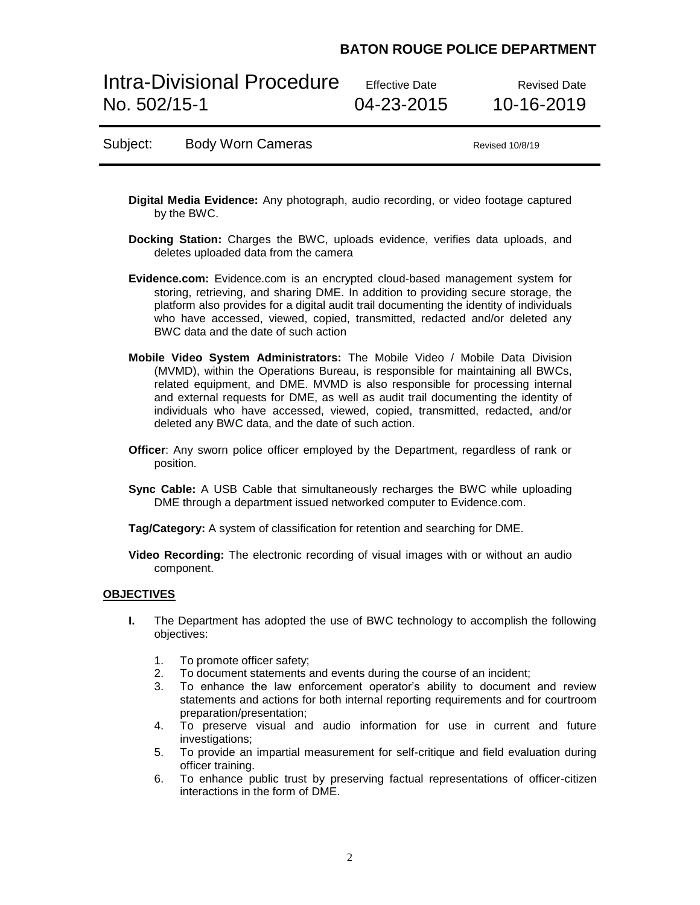Intra-Divisional Procedure Effective Date Revised Date No. 502/15-1 04-23-2015 10-16-2019

### Subject: Body Worn Cameras **Bublish Contains Accord Revised 10/8/19**

- **Digital Media Evidence:** Any photograph, audio recording, or video footage captured by the BWC.
- **Docking Station:** Charges the BWC, uploads evidence, verifies data uploads, and deletes uploaded data from the camera
- **Evidence.com:** Evidence.com is an encrypted cloud-based management system for storing, retrieving, and sharing DME. In addition to providing secure storage, the platform also provides for a digital audit trail documenting the identity of individuals who have accessed, viewed, copied, transmitted, redacted and/or deleted any BWC data and the date of such action
- **Mobile Video System Administrators:** The Mobile Video / Mobile Data Division (MVMD), within the Operations Bureau, is responsible for maintaining all BWCs, related equipment, and DME. MVMD is also responsible for processing internal and external requests for DME, as well as audit trail documenting the identity of individuals who have accessed, viewed, copied, transmitted, redacted, and/or deleted any BWC data, and the date of such action.
- **Officer**: Any sworn police officer employed by the Department, regardless of rank or position.
- **Sync Cable:** A USB Cable that simultaneously recharges the BWC while uploading DME through a department issued networked computer to Evidence.com.

**Tag/Category:** A system of classification for retention and searching for DME.

**Video Recording:** The electronic recording of visual images with or without an audio component.

### **OBJECTIVES**

- **I.** The Department has adopted the use of BWC technology to accomplish the following objectives:
	- 1. To promote officer safety;
	- 2. To document statements and events during the course of an incident;
	- 3. To enhance the law enforcement operator's ability to document and review statements and actions for both internal reporting requirements and for courtroom preparation/presentation;
	- 4. To preserve visual and audio information for use in current and future investigations:
	- 5. To provide an impartial measurement for self-critique and field evaluation during officer training.
	- 6. To enhance public trust by preserving factual representations of officer-citizen interactions in the form of DME.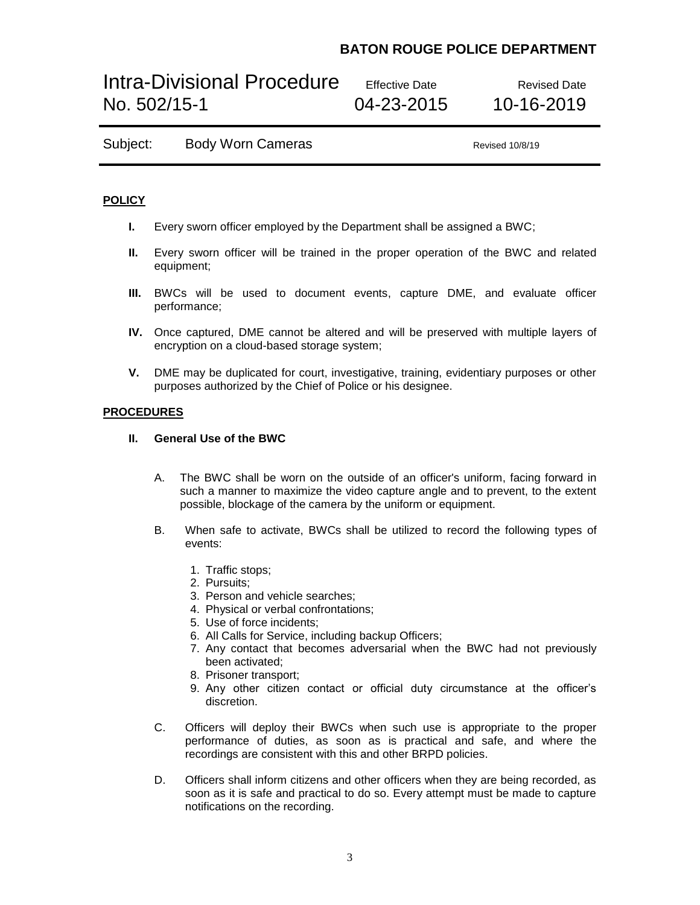# Intra-Divisional Procedure Effective Date Revised Date No. 502/15-1 04-23-2015 10-16-2019

| Subject: | <b>Body Worn Cameras</b> |  |
|----------|--------------------------|--|
|----------|--------------------------|--|

Revised 10/8/19

### **POLICY**

- **I.** Every sworn officer employed by the Department shall be assigned a BWC;
- **II.** Every sworn officer will be trained in the proper operation of the BWC and related equipment;
- **III.** BWCs will be used to document events, capture DME, and evaluate officer performance;
- **IV.** Once captured, DME cannot be altered and will be preserved with multiple layers of encryption on a cloud-based storage system;
- **V.** DME may be duplicated for court, investigative, training, evidentiary purposes or other purposes authorized by the Chief of Police or his designee.

### **PROCEDURES**

### **II. General Use of the BWC**

- A. The BWC shall be worn on the outside of an officer's uniform, facing forward in such a manner to maximize the video capture angle and to prevent, to the extent possible, blockage of the camera by the uniform or equipment.
- B. When safe to activate, BWCs shall be utilized to record the following types of events:
	- 1. Traffic stops;
	- 2. Pursuits;
	- 3. Person and vehicle searches;
	- 4. Physical or verbal confrontations;
	- 5. Use of force incidents;
	- 6. All Calls for Service, including backup Officers;
	- 7. Any contact that becomes adversarial when the BWC had not previously been activated;
	- 8. Prisoner transport;
	- 9. Any other citizen contact or official duty circumstance at the officer's discretion.
- C. Officers will deploy their BWCs when such use is appropriate to the proper performance of duties, as soon as is practical and safe, and where the recordings are consistent with this and other BRPD policies.
- D. Officers shall inform citizens and other officers when they are being recorded, as soon as it is safe and practical to do so. Every attempt must be made to capture notifications on the recording.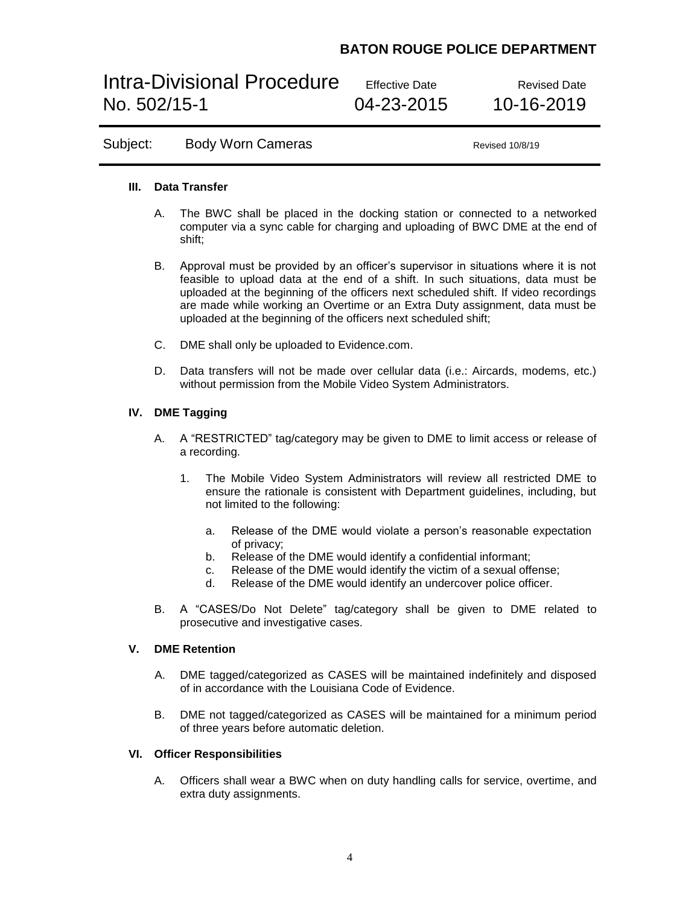Intra-Divisional Procedure Effective Date Revised Date No. 502/15-1 04-23-2015 10-16-2019

## Subject: Body Worn Cameras **Bublish Contains Accord Revised 10/8/19**

### **III. Data Transfer**

- A. The BWC shall be placed in the docking station or connected to a networked computer via a sync cable for charging and uploading of BWC DME at the end of shift;
- B. Approval must be provided by an officer's supervisor in situations where it is not feasible to upload data at the end of a shift. In such situations, data must be uploaded at the beginning of the officers next scheduled shift. If video recordings are made while working an Overtime or an Extra Duty assignment, data must be uploaded at the beginning of the officers next scheduled shift;
- C. DME shall only be uploaded to Evidence.com.
- D. Data transfers will not be made over cellular data (i.e.: Aircards, modems, etc.) without permission from the Mobile Video System Administrators.

### **IV. DME Tagging**

- A. A "RESTRICTED" tag/category may be given to DME to limit access or release of a recording.
	- 1. The Mobile Video System Administrators will review all restricted DME to ensure the rationale is consistent with Department guidelines, including, but not limited to the following:
		- a. Release of the DME would violate a person's reasonable expectation of privacy;
		- b. Release of the DME would identify a confidential informant;
		- c. Release of the DME would identify the victim of a sexual offense;
		- d. Release of the DME would identify an undercover police officer.
- B. A "CASES/Do Not Delete" tag/category shall be given to DME related to prosecutive and investigative cases.

### **V. DME Retention**

- A. DME tagged/categorized as CASES will be maintained indefinitely and disposed of in accordance with the Louisiana Code of Evidence.
- B. DME not tagged/categorized as CASES will be maintained for a minimum period of three years before automatic deletion.

### **VI. Officer Responsibilities**

A. Officers shall wear a BWC when on duty handling calls for service, overtime, and extra duty assignments.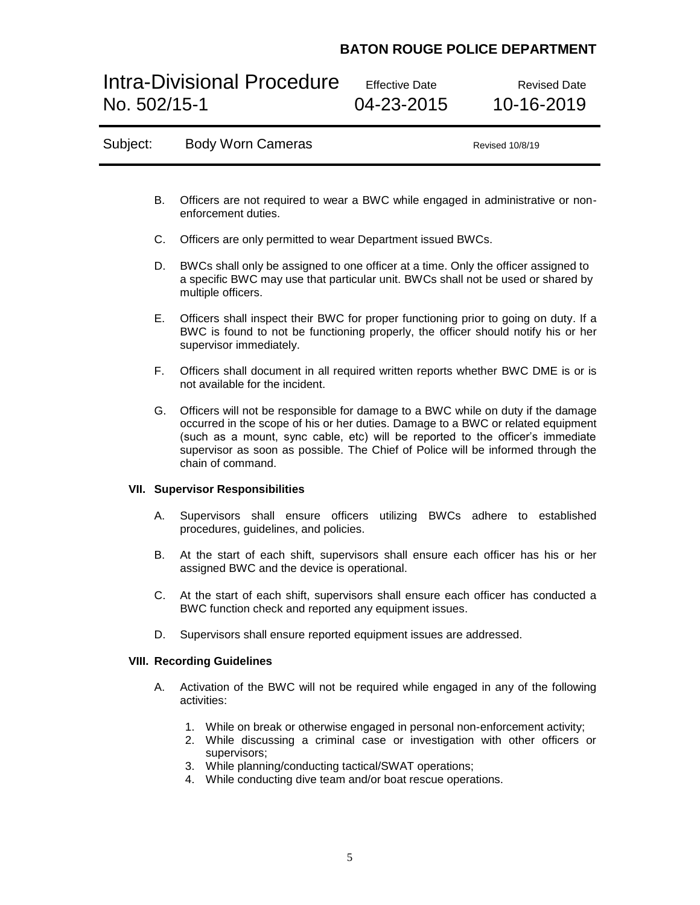# Intra-Divisional Procedure Effective Date<br>No. 502/15-1 04-23-2015 10-16-2019

04-23-2015

| Subject:                                |                                                                                                                                                                                                                                                                                                                                                                       | <b>Body Worn Cameras</b>                                                                                                                                                                                                                                                                              | Revised 10/8/19 |  |  |  |
|-----------------------------------------|-----------------------------------------------------------------------------------------------------------------------------------------------------------------------------------------------------------------------------------------------------------------------------------------------------------------------------------------------------------------------|-------------------------------------------------------------------------------------------------------------------------------------------------------------------------------------------------------------------------------------------------------------------------------------------------------|-----------------|--|--|--|
|                                         |                                                                                                                                                                                                                                                                                                                                                                       |                                                                                                                                                                                                                                                                                                       |                 |  |  |  |
|                                         | В.                                                                                                                                                                                                                                                                                                                                                                    | Officers are not required to wear a BWC while engaged in administrative or non-<br>enforcement duties.                                                                                                                                                                                                |                 |  |  |  |
|                                         | C.                                                                                                                                                                                                                                                                                                                                                                    | Officers are only permitted to wear Department issued BWCs.                                                                                                                                                                                                                                           |                 |  |  |  |
|                                         | D.                                                                                                                                                                                                                                                                                                                                                                    | BWCs shall only be assigned to one officer at a time. Only the officer assigned to<br>a specific BWC may use that particular unit. BWCs shall not be used or shared by<br>multiple officers.                                                                                                          |                 |  |  |  |
|                                         | Е.                                                                                                                                                                                                                                                                                                                                                                    | Officers shall inspect their BWC for proper functioning prior to going on duty. If a<br>BWC is found to not be functioning properly, the officer should notify his or her<br>supervisor immediately.                                                                                                  |                 |  |  |  |
|                                         | F.,                                                                                                                                                                                                                                                                                                                                                                   | Officers shall document in all required written reports whether BWC DME is or is<br>not available for the incident.                                                                                                                                                                                   |                 |  |  |  |
|                                         | Officers will not be responsible for damage to a BWC while on duty if the damage<br>G.<br>occurred in the scope of his or her duties. Damage to a BWC or related equipment<br>(such as a mount, sync cable, etc) will be reported to the officer's immediate<br>supervisor as soon as possible. The Chief of Police will be informed through the<br>chain of command. |                                                                                                                                                                                                                                                                                                       |                 |  |  |  |
| <b>VII. Supervisor Responsibilities</b> |                                                                                                                                                                                                                                                                                                                                                                       |                                                                                                                                                                                                                                                                                                       |                 |  |  |  |
|                                         | А.                                                                                                                                                                                                                                                                                                                                                                    | Supervisors shall ensure officers utilizing BWCs adhere to established<br>procedures, guidelines, and policies.                                                                                                                                                                                       |                 |  |  |  |
|                                         | В.                                                                                                                                                                                                                                                                                                                                                                    | At the start of each shift, supervisors shall ensure each officer has his or her<br>assigned BWC and the device is operational.                                                                                                                                                                       |                 |  |  |  |
|                                         | C.                                                                                                                                                                                                                                                                                                                                                                    | At the start of each shift, supervisors shall ensure each officer has conducted a<br>BWC function check and reported any equipment issues.                                                                                                                                                            |                 |  |  |  |
|                                         |                                                                                                                                                                                                                                                                                                                                                                       | Supervisors shall ensure reported equipment issues are addressed.                                                                                                                                                                                                                                     |                 |  |  |  |
|                                         |                                                                                                                                                                                                                                                                                                                                                                       | <b>VIII. Recording Guidelines</b>                                                                                                                                                                                                                                                                     |                 |  |  |  |
|                                         | А.                                                                                                                                                                                                                                                                                                                                                                    | Activation of the BWC will not be required while engaged in any of the following<br>activities:                                                                                                                                                                                                       |                 |  |  |  |
|                                         |                                                                                                                                                                                                                                                                                                                                                                       | 1. While on break or otherwise engaged in personal non-enforcement activity;<br>2. While discussing a criminal case or investigation with other officers or<br>supervisors;<br>3. While planning/conducting tactical/SWAT operations;<br>4. While conducting dive team and/or boat rescue operations. |                 |  |  |  |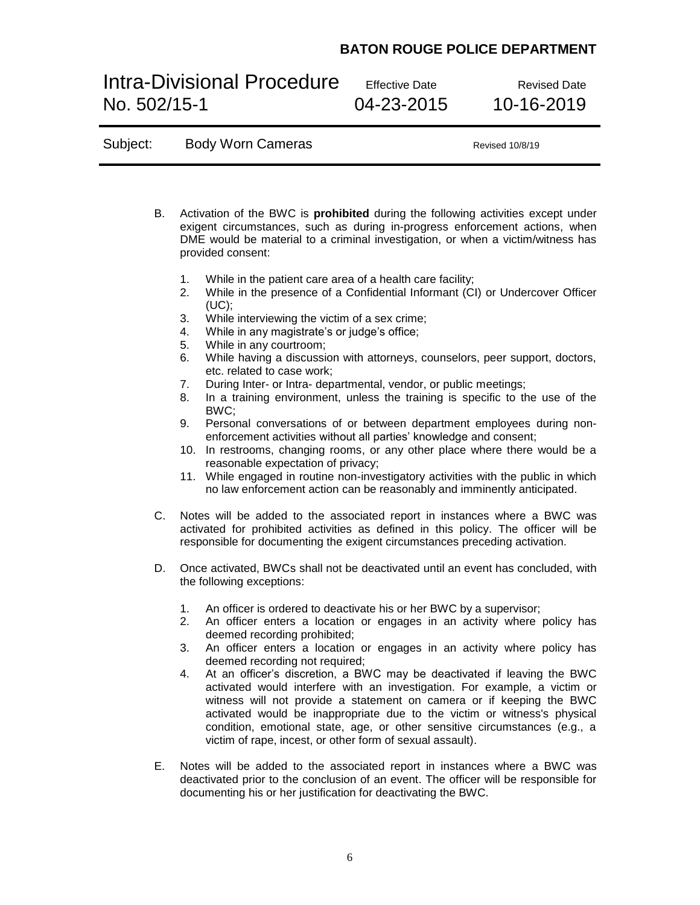# Intra-Divisional Procedure Effective Date<br>No. 502/15-1 04-23-2015 10-16-2019 No. 502/15-1 04-23-2015 10-16-2019

Subject: Body Worn Cameras Revised 10/8/19

| В. | Activation of the BWC is <b>prohibited</b> during the following activities except under<br>exigent circumstances, such as during in-progress enforcement actions, when<br>DME would be material to a criminal investigation, or when a victim/witness has<br>provided consent:                                                                                                                                                                            |  |  |  |  |
|----|-----------------------------------------------------------------------------------------------------------------------------------------------------------------------------------------------------------------------------------------------------------------------------------------------------------------------------------------------------------------------------------------------------------------------------------------------------------|--|--|--|--|
|    | While in the patient care area of a health care facility;<br>1.<br>While in the presence of a Confidential Informant (CI) or Undercover Officer<br>2.<br>(UC);                                                                                                                                                                                                                                                                                            |  |  |  |  |
|    | While interviewing the victim of a sex crime;<br>3.<br>While in any magistrate's or judge's office;<br>4.                                                                                                                                                                                                                                                                                                                                                 |  |  |  |  |
|    | While in any courtroom;<br>5.                                                                                                                                                                                                                                                                                                                                                                                                                             |  |  |  |  |
|    | While having a discussion with attorneys, counselors, peer support, doctors,<br>6.<br>etc. related to case work;                                                                                                                                                                                                                                                                                                                                          |  |  |  |  |
|    | During Inter- or Intra- departmental, vendor, or public meetings;<br>7.<br>In a training environment, unless the training is specific to the use of the<br>8.<br>BWC;                                                                                                                                                                                                                                                                                     |  |  |  |  |
|    | Personal conversations of or between department employees during non-<br>9.<br>enforcement activities without all parties' knowledge and consent;                                                                                                                                                                                                                                                                                                         |  |  |  |  |
|    | In restrooms, changing rooms, or any other place where there would be a<br>10.<br>reasonable expectation of privacy;                                                                                                                                                                                                                                                                                                                                      |  |  |  |  |
|    | 11. While engaged in routine non-investigatory activities with the public in which<br>no law enforcement action can be reasonably and imminently anticipated.                                                                                                                                                                                                                                                                                             |  |  |  |  |
| C. | Notes will be added to the associated report in instances where a BWC was<br>activated for prohibited activities as defined in this policy. The officer will be<br>responsible for documenting the exigent circumstances preceding activation.                                                                                                                                                                                                            |  |  |  |  |
| D. | Once activated, BWCs shall not be deactivated until an event has concluded, with<br>the following exceptions:                                                                                                                                                                                                                                                                                                                                             |  |  |  |  |
|    | An officer is ordered to deactivate his or her BWC by a supervisor;<br>1.<br>An officer enters a location or engages in an activity where policy has<br>2.<br>deemed recording prohibited;                                                                                                                                                                                                                                                                |  |  |  |  |
|    | An officer enters a location or engages in an activity where policy has<br>3.<br>deemed recording not required;                                                                                                                                                                                                                                                                                                                                           |  |  |  |  |
|    | At an officer's discretion, a BWC may be deactivated if leaving the BWC<br>4.<br>activated would interfere with an investigation. For example, a victim or<br>witness will not provide a statement on camera or if keeping the BWC<br>activated would be inappropriate due to the victim or witness's physical<br>condition, emotional state, age, or other sensitive circumstances (e.g., a<br>victim of rape, incest, or other form of sexual assault). |  |  |  |  |
| Е. | Notes will be added to the associated report in instances where a BWC was<br>deactivated prior to the conclusion of an event. The officer will be responsible for<br>documenting his or her justification for deactivating the BWC.                                                                                                                                                                                                                       |  |  |  |  |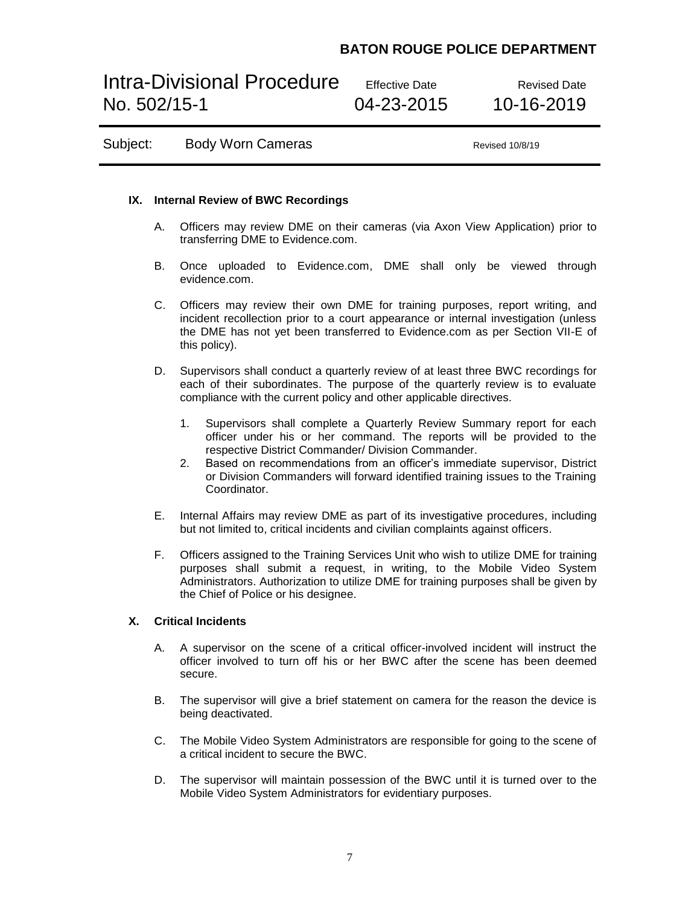# Intra-Divisional Procedure Effective Date Revised Date No. 502/15-1 04-23-2015 10-16-2019

Subject: Body Worn Cameras **Bublish Contains Accord Revised 10/8/19** 

### **IX. Internal Review of BWC Recordings**

- A. Officers may review DME on their cameras (via Axon View Application) prior to transferring DME to Evidence.com.
- B. Once uploaded to Evidence.com, DME shall only be viewed through evidence.com.
- C. Officers may review their own DME for training purposes, report writing, and incident recollection prior to a court appearance or internal investigation (unless the DME has not yet been transferred to Evidence.com as per Section VII-E of this policy).
- D. Supervisors shall conduct a quarterly review of at least three BWC recordings for each of their subordinates. The purpose of the quarterly review is to evaluate compliance with the current policy and other applicable directives.
	- 1. Supervisors shall complete a Quarterly Review Summary report for each officer under his or her command. The reports will be provided to the respective District Commander/ Division Commander.
	- 2. Based on recommendations from an officer's immediate supervisor, District or Division Commanders will forward identified training issues to the Training Coordinator.
- E. Internal Affairs may review DME as part of its investigative procedures, including but not limited to, critical incidents and civilian complaints against officers.
- F. Officers assigned to the Training Services Unit who wish to utilize DME for training purposes shall submit a request, in writing, to the Mobile Video System Administrators. Authorization to utilize DME for training purposes shall be given by the Chief of Police or his designee.

### **X. Critical Incidents**

- A. A supervisor on the scene of a critical officer-involved incident will instruct the officer involved to turn off his or her BWC after the scene has been deemed secure.
- B. The supervisor will give a brief statement on camera for the reason the device is being deactivated.
- C. The Mobile Video System Administrators are responsible for going to the scene of a critical incident to secure the BWC.
- D. The supervisor will maintain possession of the BWC until it is turned over to the Mobile Video System Administrators for evidentiary purposes.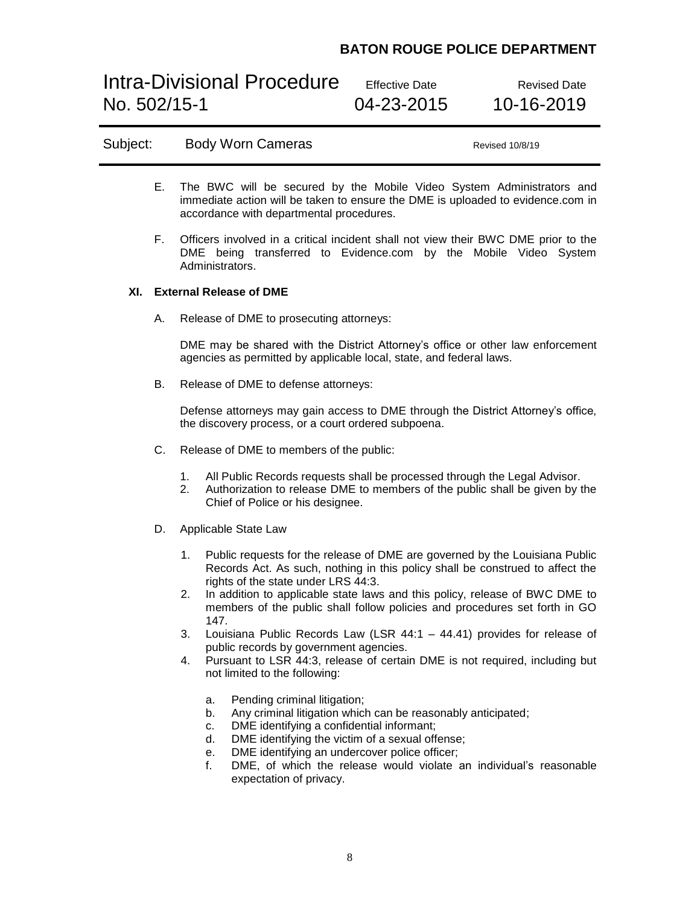Intra-Divisional Procedure Effective Date Revised Date No. 502/15-1 04-23-2015 10-16-2019

### Subject: Body Worn Cameras **Bublish Contains Accord Revised 10/8/19**

- E. The BWC will be secured by the Mobile Video System Administrators and immediate action will be taken to ensure the DME is uploaded to evidence.com in accordance with departmental procedures.
- F. Officers involved in a critical incident shall not view their BWC DME prior to the DME being transferred to Evidence.com by the Mobile Video System Administrators.

### **XI. External Release of DME**

A. Release of DME to prosecuting attorneys:

DME may be shared with the District Attorney's office or other law enforcement agencies as permitted by applicable local, state, and federal laws.

B. Release of DME to defense attorneys:

Defense attorneys may gain access to DME through the District Attorney's office, the discovery process, or a court ordered subpoena.

- C. Release of DME to members of the public:
	- 1. All Public Records requests shall be processed through the Legal Advisor.
	- 2. Authorization to release DME to members of the public shall be given by the Chief of Police or his designee.
- D. Applicable State Law
	- 1. Public requests for the release of DME are governed by the Louisiana Public Records Act. As such, nothing in this policy shall be construed to affect the rights of the state under LRS 44:3.
	- 2. In addition to applicable state laws and this policy, release of BWC DME to members of the public shall follow policies and procedures set forth in GO 147.
	- 3. Louisiana Public Records Law (LSR 44:1 44.41) provides for release of public records by government agencies.
	- 4. Pursuant to LSR 44:3, release of certain DME is not required, including but not limited to the following:
		- a. Pending criminal litigation;
		- b. Any criminal litigation which can be reasonably anticipated;
		- c. DME identifying a confidential informant;
		- d. DME identifying the victim of a sexual offense;
		- e. DME identifying an undercover police officer;
		- f. DME, of which the release would violate an individual's reasonable expectation of privacy.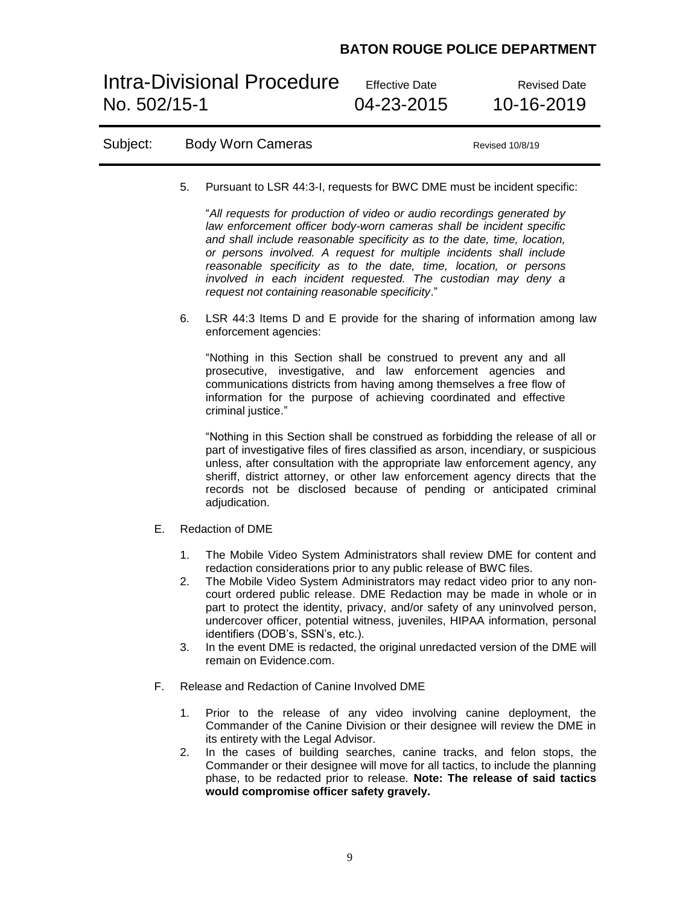Intra-Divisional Procedure Effective Date<br>No. 502/15-1 04-23-2015 10-16-2019 No. 502/15-1

| Subject: |                | <b>Body Worn Cameras</b>                                                                                                                                                                                                                                                                                                                                                                                                                                                                                                                                                                                                 | Revised 10/8/19 |
|----------|----------------|--------------------------------------------------------------------------------------------------------------------------------------------------------------------------------------------------------------------------------------------------------------------------------------------------------------------------------------------------------------------------------------------------------------------------------------------------------------------------------------------------------------------------------------------------------------------------------------------------------------------------|-----------------|
|          | 5.             | Pursuant to LSR 44:3-I, requests for BWC DME must be incident specific:                                                                                                                                                                                                                                                                                                                                                                                                                                                                                                                                                  |                 |
|          |                | "All requests for production of video or audio recordings generated by<br>law enforcement officer body-worn cameras shall be incident specific<br>and shall include reasonable specificity as to the date, time, location,<br>or persons involved. A request for multiple incidents shall include<br>reasonable specificity as to the date, time, location, or persons<br>involved in each incident requested. The custodian may deny a<br>request not containing reasonable specificity."                                                                                                                               |                 |
|          | 6.             | LSR 44:3 Items D and E provide for the sharing of information among law<br>enforcement agencies:                                                                                                                                                                                                                                                                                                                                                                                                                                                                                                                         |                 |
|          |                | "Nothing in this Section shall be construed to prevent any and all<br>prosecutive, investigative, and law enforcement agencies and<br>communications districts from having among themselves a free flow of<br>information for the purpose of achieving coordinated and effective<br>criminal justice."                                                                                                                                                                                                                                                                                                                   |                 |
|          |                | "Nothing in this Section shall be construed as forbidding the release of all or<br>part of investigative files of fires classified as arson, incendiary, or suspicious<br>unless, after consultation with the appropriate law enforcement agency, any<br>sheriff, district attorney, or other law enforcement agency directs that the<br>records not be disclosed because of pending or anticipated criminal<br>adjudication.                                                                                                                                                                                            |                 |
| Е.       |                | <b>Redaction of DME</b>                                                                                                                                                                                                                                                                                                                                                                                                                                                                                                                                                                                                  |                 |
|          | 1.<br>2.<br>3. | The Mobile Video System Administrators shall review DME for content and<br>redaction considerations prior to any public release of BWC files.<br>The Mobile Video System Administrators may redact video prior to any non-<br>court ordered public release. DME Redaction may be made in whole or in<br>part to protect the identity, privacy, and/or safety of any uninvolved person,<br>undercover officer, potential witness, juveniles, HIPAA information, personal<br>identifiers (DOB's, SSN's, etc.).<br>In the event DME is redacted, the original unredacted version of the DME will<br>remain on Evidence.com. |                 |
| F.       |                | Release and Redaction of Canine Involved DME                                                                                                                                                                                                                                                                                                                                                                                                                                                                                                                                                                             |                 |
|          | 1.<br>2.       | Prior to the release of any video involving canine deployment, the<br>Commander of the Canine Division or their designee will review the DME in<br>its entirety with the Legal Advisor.<br>In the cases of building searches, canine tracks, and felon stops, the<br>Commander or their designee will move for all tactics, to include the planning<br>phase, to be redacted prior to release. Note: The release of said tactics<br>would compromise officer safety gravely.                                                                                                                                             |                 |
|          |                |                                                                                                                                                                                                                                                                                                                                                                                                                                                                                                                                                                                                                          |                 |